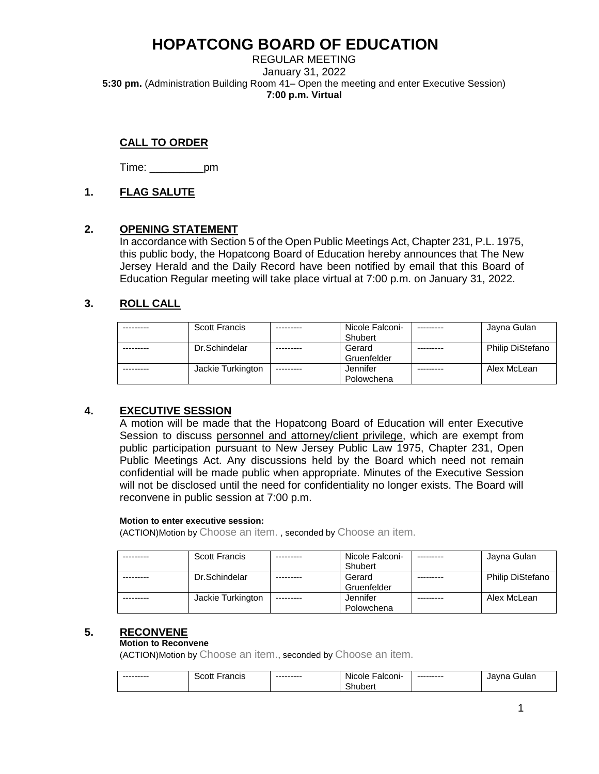REGULAR MEETING January 31, 2022 **5:30 pm.** (Administration Building Room 41– Open the meeting and enter Executive Session) **7:00 p.m. Virtual** 

## **CALL TO ORDER**

Time: \_\_\_\_\_\_\_\_\_pm

## **1. FLAG SALUTE**

### **2. OPENING STATEMENT**

In accordance with Section 5 of the Open Public Meetings Act, Chapter 231, P.L. 1975, this public body, the Hopatcong Board of Education hereby announces that The New Jersey Herald and the Daily Record have been notified by email that this Board of Education Regular meeting will take place virtual at 7:00 p.m. on January 31, 2022.

## **3. ROLL CALL**

| <b>Scott Francis</b> | Nicole Falconi- |           | Jayna Gulan             |
|----------------------|-----------------|-----------|-------------------------|
|                      | Shubert         |           |                         |
| Dr.Schindelar        | Gerard          | --------- | <b>Philip DiStefano</b> |
|                      | Gruenfelder     |           |                         |
| Jackie Turkington    | Jennifer        |           | Alex McLean             |
|                      | Polowchena      |           |                         |

## **4. EXECUTIVE SESSION**

A motion will be made that the Hopatcong Board of Education will enter Executive Session to discuss personnel and attorney/client privilege, which are exempt from public participation pursuant to New Jersey Public Law 1975, Chapter 231, Open Public Meetings Act. Any discussions held by the Board which need not remain confidential will be made public when appropriate. Minutes of the Executive Session will not be disclosed until the need for confidentiality no longer exists. The Board will reconvene in public session at 7:00 p.m.

#### **Motion to enter executive session:**

(ACTION)Motion by Choose an item. , seconded by Choose an item.

| <b>Scott Francis</b> |            | Nicole Falconi- | Jayna Gulan      |
|----------------------|------------|-----------------|------------------|
|                      |            | Shubert         |                  |
| Dr.Schindelar        |            | Gerard          | Philip DiStefano |
|                      |            | Gruenfelder     |                  |
| Jackie Turkington    | ---------- | Jennifer        | Alex McLean      |
|                      |            | Polowchena      |                  |

## **5. RECONVENE**

#### **Motion to Reconvene**

(ACTION)Motion by Choose an item., seconded by Choose an item.

| --------- | Francis<br>Scott | --------- | ·alconi·<br><b>Nicole</b> | --------- | Gular<br>Javna |
|-----------|------------------|-----------|---------------------------|-----------|----------------|
|           |                  |           | -<br>ıubert               |           |                |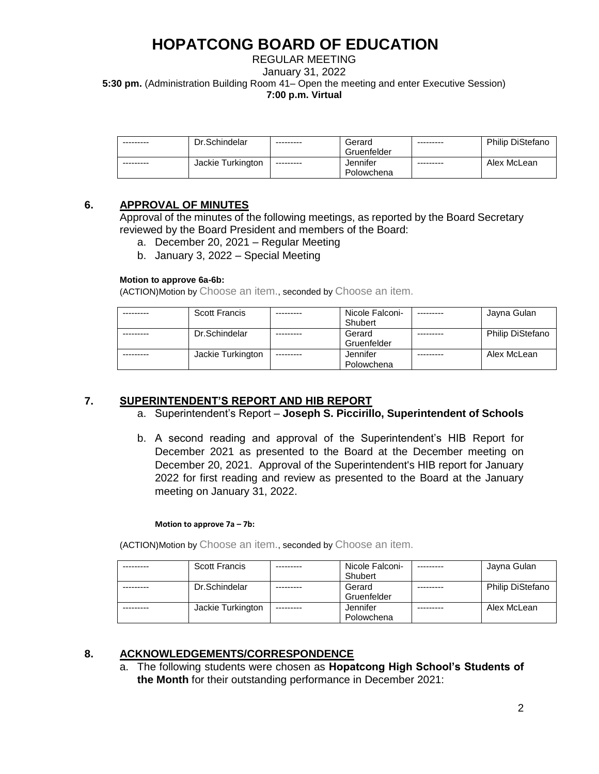### REGULAR MEETING January 31, 2022 **5:30 pm.** (Administration Building Room 41– Open the meeting and enter Executive Session) **7:00 p.m. Virtual**

| --------- | Dr.Schindelar     | ---------  | Gerard<br>Gruenfelder  | --------- | <b>Philip DiStefano</b> |
|-----------|-------------------|------------|------------------------|-----------|-------------------------|
| --------- | Jackie Turkington | ---------- | Jennifer<br>Polowchena | --------- | Alex McLean             |

## **6. APPROVAL OF MINUTES**

Approval of the minutes of the following meetings, as reported by the Board Secretary reviewed by the Board President and members of the Board:

- a. December 20, 2021 Regular Meeting
- b. January 3, 2022 Special Meeting

### **Motion to approve 6a-6b:**

(ACTION)Motion by Choose an item., seconded by Choose an item.

| <b>Scott Francis</b> |           | Nicole Falconi- | Jayna Gulan             |
|----------------------|-----------|-----------------|-------------------------|
|                      |           | Shubert         |                         |
| Dr.Schindelar        |           | Gerard          | <b>Philip DiStefano</b> |
|                      |           | Gruenfelder     |                         |
| Jackie Turkington    | --------- | Jennifer        | Alex McLean             |
|                      |           | Polowchena      |                         |

## **7. SUPERINTENDENT'S REPORT AND HIB REPORT**

## a. Superintendent's Report – **Joseph S. Piccirillo, Superintendent of Schools**

b. A second reading and approval of the Superintendent's HIB Report for December 2021 as presented to the Board at the December meeting on December 20, 2021. Approval of the Superintendent's HIB report for January 2022 for first reading and review as presented to the Board at the January meeting on January 31, 2022.

### **Motion to approve 7a – 7b:**

(ACTION)Motion by Choose an item., seconded by Choose an item.

| <b>Scott Francis</b> |           | Nicole Falconi- | Jayna Gulan             |
|----------------------|-----------|-----------------|-------------------------|
|                      |           | Shubert         |                         |
| Dr.Schindelar        |           | Gerard          | <b>Philip DiStefano</b> |
|                      |           | Gruenfelder     |                         |
| Jackie Turkington    | --------- | Jennifer        | Alex McLean             |
|                      |           | Polowchena      |                         |

## **8. ACKNOWLEDGEMENTS/CORRESPONDENCE**

a. The following students were chosen as **Hopatcong High School's Students of the Month** for their outstanding performance in December 2021: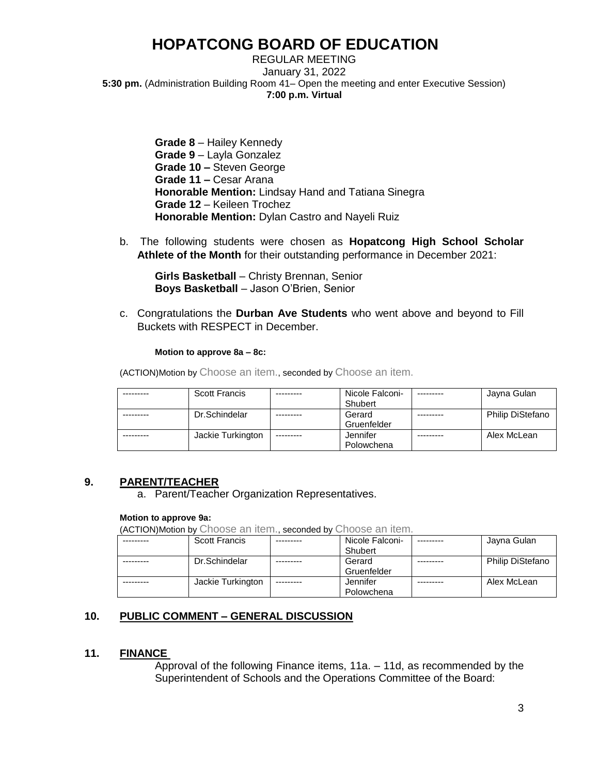REGULAR MEETING January 31, 2022 **5:30 pm.** (Administration Building Room 41– Open the meeting and enter Executive Session) **7:00 p.m. Virtual** 

> **Grade 8** – Hailey Kennedy **Grade 9** – Layla Gonzalez **Grade 10 –** Steven George **Grade 11 –** Cesar Arana **Honorable Mention:** Lindsay Hand and Tatiana Sinegra **Grade 12** – Keileen Trochez **Honorable Mention:** Dylan Castro and Nayeli Ruiz

b. The following students were chosen as **Hopatcong High School Scholar Athlete of the Month** for their outstanding performance in December 2021:

**Girls Basketball** – Christy Brennan, Senior **Boys Basketball** – Jason O'Brien, Senior

c. Congratulations the **Durban Ave Students** who went above and beyond to Fill Buckets with RESPECT in December.

**Motion to approve 8a – 8c:**

(ACTION)Motion by Choose an item., seconded by Choose an item.

| <b>Scott Francis</b> |           | Nicole Falconi-<br>Shubert | Jayna Gulan             |
|----------------------|-----------|----------------------------|-------------------------|
|                      |           |                            |                         |
| Dr.Schindelar        |           | Gerard                     | <b>Philip DiStefano</b> |
|                      |           | Gruenfelder                |                         |
| Jackie Turkington    | --------- | Jennifer                   | Alex McLean             |
|                      |           | Polowchena                 |                         |

## **9. PARENT/TEACHER**

a. Parent/Teacher Organization Representatives.

### **Motion to approve 9a:**

(ACTION)Motion by Choose an item., seconded by Choose an item.

| <b>Scott Francis</b> | Nicole Falconi- | Javna Gulan      |
|----------------------|-----------------|------------------|
|                      | Shubert         |                  |
| Dr.Schindelar        | Gerard          | Philip DiStefano |
|                      | Gruenfelder     |                  |
| Jackie Turkington    | Jennifer        | Alex McLean      |
|                      | Polowchena      |                  |

## **10. PUBLIC COMMENT – GENERAL DISCUSSION**

### **11. FINANCE**

Approval of the following Finance items, 11a. – 11d, as recommended by the Superintendent of Schools and the Operations Committee of the Board: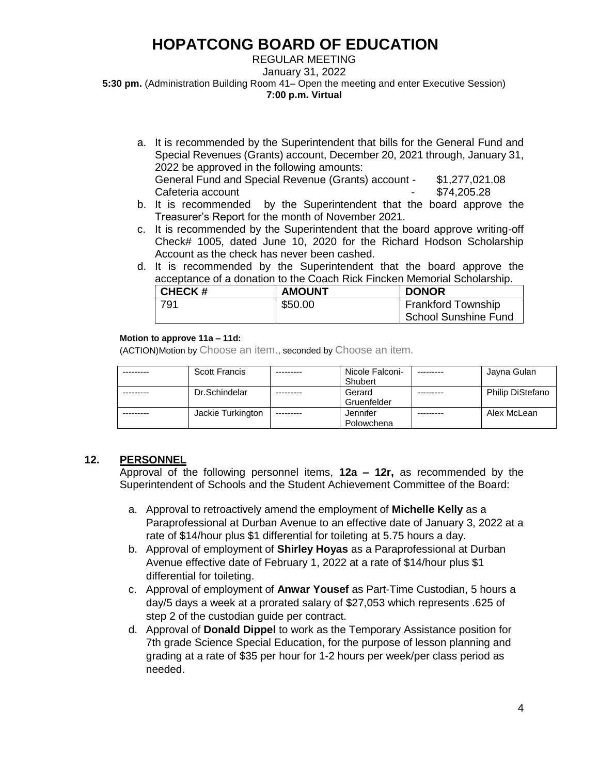#### REGULAR MEETING January 31, 2022 **5:30 pm.** (Administration Building Room 41– Open the meeting and enter Executive Session) **7:00 p.m. Virtual**

- a. It is recommended by the Superintendent that bills for the General Fund and Special Revenues (Grants) account, December 20, 2021 through, January 31, 2022 be approved in the following amounts: General Fund and Special Revenue (Grants) account - \$1,277,021.08
- Cafeteria account Cafeteria account b. It is recommended by the Superintendent that the board approve the Treasurer's Report for the month of November 2021.
- c. It is recommended by the Superintendent that the board approve writing-off Check# 1005, dated June 10, 2020 for the Richard Hodson Scholarship Account as the check has never been cashed.
- d. It is recommended by the Superintendent that the board approve the acceptance of a donation to the Coach Rick Fincken Memorial Scholarship.

| <b>CHECK#</b> | <b>AMOUNT</b> | <b>DONOR</b>                               |
|---------------|---------------|--------------------------------------------|
| 791           | \$50.00       | Frankford Township<br>School Sunshine Fund |

### **Motion to approve 11a – 11d:**

(ACTION)Motion by Choose an item., seconded by Choose an item.

| <b>Scott Francis</b> |            | Nicole Falconi- | Jayna Gulan             |
|----------------------|------------|-----------------|-------------------------|
|                      |            | Shubert         |                         |
| Dr.Schindelar        |            | Gerard          | <b>Philip DiStefano</b> |
|                      |            | Gruenfelder     |                         |
| Jackie Turkington    | ---------- | Jennifer        | Alex McLean             |
|                      |            | Polowchena      |                         |

## **12. PERSONNEL**

Approval of the following personnel items, **12a – 12r,** as recommended by the Superintendent of Schools and the Student Achievement Committee of the Board:

- a. Approval to retroactively amend the employment of **Michelle Kelly** as a Paraprofessional at Durban Avenue to an effective date of January 3, 2022 at a rate of \$14/hour plus \$1 differential for toileting at 5.75 hours a day.
- b. Approval of employment of **Shirley Hoyas** as a Paraprofessional at Durban Avenue effective date of February 1, 2022 at a rate of \$14/hour plus \$1 differential for toileting.
- c. Approval of employment of **Anwar Yousef** as Part-Time Custodian, 5 hours a day/5 days a week at a prorated salary of \$27,053 which represents .625 of step 2 of the custodian guide per contract.
- d. Approval of **Donald Dippel** to work as the Temporary Assistance position for 7th grade Science Special Education, for the purpose of lesson planning and grading at a rate of \$35 per hour for 1-2 hours per week/per class period as needed.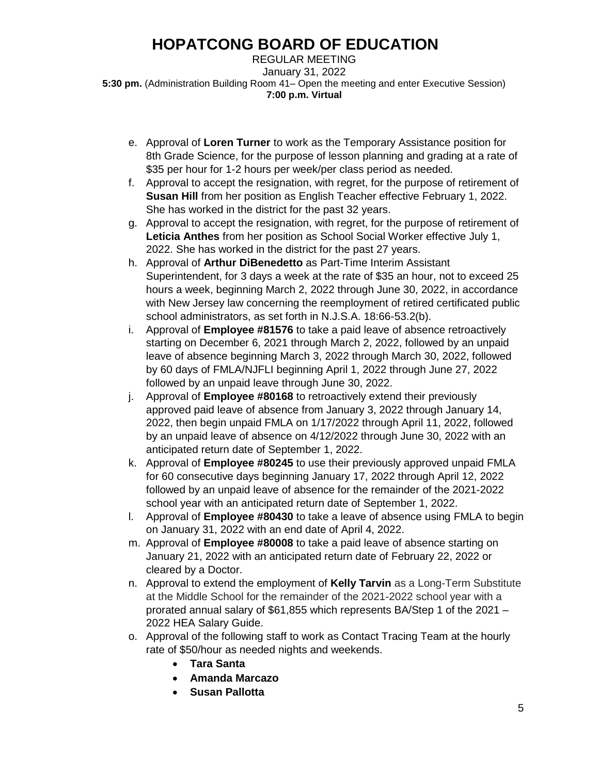REGULAR MEETING January 31, 2022 **5:30 pm.** (Administration Building Room 41– Open the meeting and enter Executive Session) **7:00 p.m. Virtual** 

- e. Approval of **Loren Turner** to work as the Temporary Assistance position for 8th Grade Science, for the purpose of lesson planning and grading at a rate of \$35 per hour for 1-2 hours per week/per class period as needed.
- f. Approval to accept the resignation, with regret, for the purpose of retirement of **Susan Hill** from her position as English Teacher effective February 1, 2022. She has worked in the district for the past 32 years.
- g. Approval to accept the resignation, with regret, for the purpose of retirement of **Leticia Anthes** from her position as School Social Worker effective July 1, 2022. She has worked in the district for the past 27 years.
- h. Approval of **Arthur DiBenedetto** as Part-Time Interim Assistant Superintendent, for 3 days a week at the rate of \$35 an hour, not to exceed 25 hours a week, beginning March 2, 2022 through June 30, 2022, in accordance with New Jersey law concerning the reemployment of retired certificated public school administrators, as set forth in N.J.S.A. 18:66-53.2(b).
- i. Approval of **Employee #81576** to take a paid leave of absence retroactively starting on December 6, 2021 through March 2, 2022, followed by an unpaid leave of absence beginning March 3, 2022 through March 30, 2022, followed by 60 days of FMLA/NJFLI beginning April 1, 2022 through June 27, 2022 followed by an unpaid leave through June 30, 2022.
- j. Approval of **Employee #80168** to retroactively extend their previously approved paid leave of absence from January 3, 2022 through January 14, 2022, then begin unpaid FMLA on 1/17/2022 through April 11, 2022, followed by an unpaid leave of absence on 4/12/2022 through June 30, 2022 with an anticipated return date of September 1, 2022.
- k. Approval of **Employee #80245** to use their previously approved unpaid FMLA for 60 consecutive days beginning January 17, 2022 through April 12, 2022 followed by an unpaid leave of absence for the remainder of the 2021-2022 school year with an anticipated return date of September 1, 2022.
- l. Approval of **Employee #80430** to take a leave of absence using FMLA to begin on January 31, 2022 with an end date of April 4, 2022.
- m. Approval of **Employee #80008** to take a paid leave of absence starting on January 21, 2022 with an anticipated return date of February 22, 2022 or cleared by a Doctor.
- n. Approval to extend the employment of **Kelly Tarvin** as a Long-Term Substitute at the Middle School for the remainder of the 2021-2022 school year with a prorated annual salary of \$61,855 which represents BA/Step 1 of the 2021 – 2022 HEA Salary Guide.
- o. Approval of the following staff to work as Contact Tracing Team at the hourly rate of \$50/hour as needed nights and weekends.
	- **Tara Santa**
	- **Amanda Marcazo**
	- **Susan Pallotta**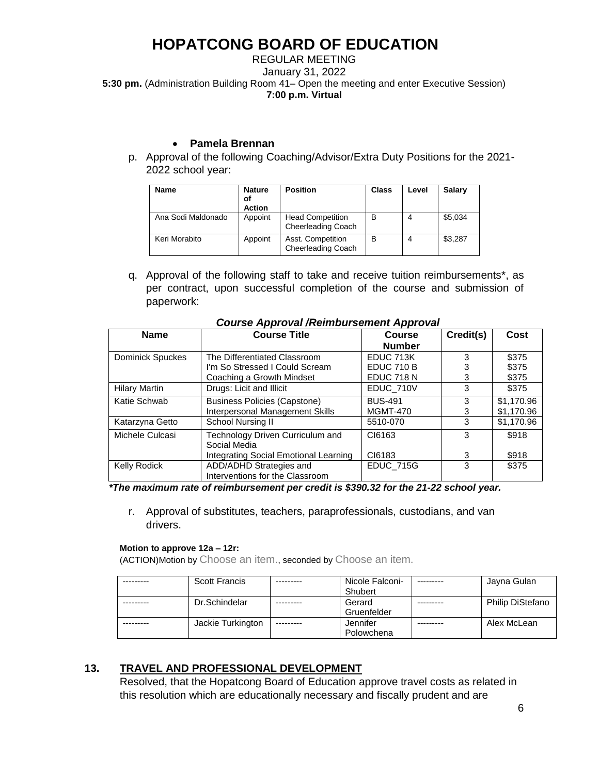REGULAR MEETING January 31, 2022 **5:30 pm.** (Administration Building Room 41– Open the meeting and enter Executive Session) **7:00 p.m. Virtual** 

## • **Pamela Brennan**

p. Approval of the following Coaching/Advisor/Extra Duty Positions for the 2021- 2022 school year:

| <b>Name</b>        | <b>Nature</b><br>οf<br><b>Action</b> | <b>Position</b>                                      | <b>Class</b> | Level | <b>Salary</b> |
|--------------------|--------------------------------------|------------------------------------------------------|--------------|-------|---------------|
| Ana Sodi Maldonado | Appoint                              | <b>Head Competition</b><br><b>Cheerleading Coach</b> | в            | 4     | \$5,034       |
| Keri Morabito      | Appoint                              | Asst. Competition<br>Cheerleading Coach              | в            |       | \$3,287       |

q. Approval of the following staff to take and receive tuition reimbursements\*, as per contract, upon successful completion of the course and submission of paperwork:

| <b>Name</b>             | <b>Course Title</b>                                        | <b>Course</b>     | Credit(s) | Cost       |
|-------------------------|------------------------------------------------------------|-------------------|-----------|------------|
|                         |                                                            | <b>Number</b>     |           |            |
| <b>Dominick Spuckes</b> | The Differentiated Classroom                               | EDUC 713K         | 3         | \$375      |
|                         | I'm So Stressed I Could Scream                             | EDUC 710 B        |           | \$375      |
|                         | Coaching a Growth Mindset                                  | <b>EDUC 718 N</b> | 3         | \$375      |
| <b>Hilary Martin</b>    | Drugs: Licit and Illicit                                   | EDUC_710V         | 3         | \$375      |
| Katie Schwab            | <b>Business Policies (Capstone)</b>                        | <b>BUS-491</b>    | 3         | \$1,170.96 |
|                         | Interpersonal Management Skills                            | <b>MGMT-470</b>   | 3         | \$1,170.96 |
| Katarzyna Getto         | School Nursing II                                          | 5510-070          | 3         | \$1,170.96 |
| Michele Culcasi         | Technology Driven Curriculum and<br>Social Media           | CI6163            | 3         | \$918      |
|                         | Integrating Social Emotional Learning                      | CI6183            | 3         | \$918      |
| <b>Kelly Rodick</b>     | ADD/ADHD Strategies and<br>Interventions for the Classroom | <b>EDUC_715G</b>  | 3         | \$375      |

## *Course Approval /Reimbursement Approval*

 *\*The maximum rate of reimbursement per credit is \$390.32 for the 21-22 school year.*

r. Approval of substitutes, teachers, paraprofessionals, custodians, and van drivers.

#### **Motion to approve 12a – 12r:**

(ACTION)Motion by Choose an item., seconded by Choose an item.

| <b>Scott Francis</b> | Nicole Falconi- | Jayna Gulan             |
|----------------------|-----------------|-------------------------|
|                      | Shubert         |                         |
| Dr.Schindelar        | Gerard          | <b>Philip DiStefano</b> |
|                      | Gruenfelder     |                         |
| Jackie Turkington    | Jennifer        | Alex McLean             |
|                      | Polowchena      |                         |

## **13. TRAVEL AND PROFESSIONAL DEVELOPMENT**

Resolved, that the Hopatcong Board of Education approve travel costs as related in this resolution which are educationally necessary and fiscally prudent and are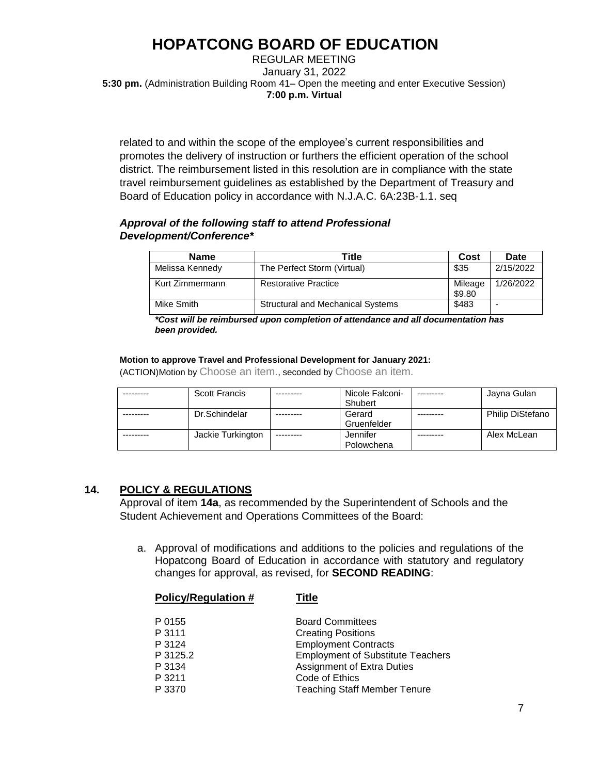REGULAR MEETING January 31, 2022 **5:30 pm.** (Administration Building Room 41– Open the meeting and enter Executive Session) **7:00 p.m. Virtual** 

related to and within the scope of the employee's current responsibilities and promotes the delivery of instruction or furthers the efficient operation of the school district. The reimbursement listed in this resolution are in compliance with the state travel reimbursement guidelines as established by the Department of Treasury and Board of Education policy in accordance with N.J.A.C. 6A:23B-1.1. seq

### *Approval of the following staff to attend Professional Development/Conference\**

| <b>Name</b>     | Title                                    | Cost              | Date      |
|-----------------|------------------------------------------|-------------------|-----------|
| Melissa Kennedy | The Perfect Storm (Virtual)              | \$35              | 2/15/2022 |
| Kurt Zimmermann | <b>Restorative Practice</b>              | Mileage<br>\$9.80 | 1/26/2022 |
| Mike Smith      | <b>Structural and Mechanical Systems</b> | \$483             | -         |

*\*Cost will be reimbursed upon completion of attendance and all documentation has been provided.* 

#### **Motion to approve Travel and Professional Development for January 2021:**

(ACTION)Motion by Choose an item., seconded by Choose an item.

| <b>Scott Francis</b> |           | Nicole Falconi- | Jayna Gulan             |
|----------------------|-----------|-----------------|-------------------------|
|                      |           | Shubert         |                         |
| Dr.Schindelar        |           | Gerard          | <b>Philip DiStefano</b> |
|                      |           | Gruenfelder     |                         |
| Jackie Turkington    | --------- | Jennifer        | Alex McLean             |
|                      |           | Polowchena      |                         |

## **14. POLICY & REGULATIONS**

Approval of item **14a**, as recommended by the Superintendent of Schools and the Student Achievement and Operations Committees of the Board:

a. Approval of modifications and additions to the policies and regulations of the Hopatcong Board of Education in accordance with statutory and regulatory changes for approval, as revised, for **SECOND READING**:

| P 0155   | <b>Board Committees</b>                  |
|----------|------------------------------------------|
| P 3111   | <b>Creating Positions</b>                |
| P 3124   | <b>Employment Contracts</b>              |
| P 3125.2 | <b>Employment of Substitute Teachers</b> |
| P 3134   | <b>Assignment of Extra Duties</b>        |
| P 3211   | Code of Ethics                           |
| P 3370   | <b>Teaching Staff Member Tenure</b>      |

**Policy/Regulation # Title**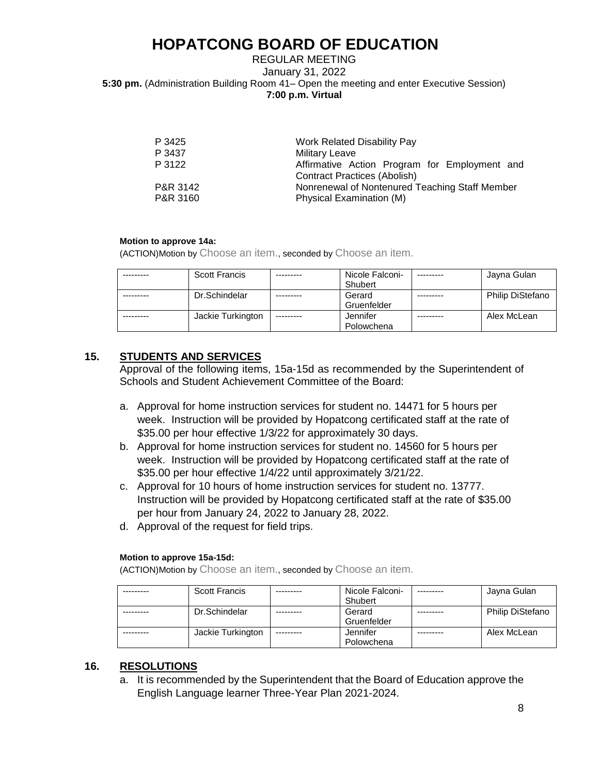### REGULAR MEETING January 31, 2022 **5:30 pm.** (Administration Building Room 41– Open the meeting and enter Executive Session) **7:00 p.m. Virtual**

| P 3425   | <b>Work Related Disability Pay</b>             |
|----------|------------------------------------------------|
| P 3437   | <b>Military Leave</b>                          |
| P 3122   | Affirmative Action Program for Employment and  |
|          | <b>Contract Practices (Abolish)</b>            |
| P&R 3142 | Nonrenewal of Nontenured Teaching Staff Member |
| P&R 3160 | Physical Examination (M)                       |
|          |                                                |

#### **Motion to approve 14a:**

(ACTION)Motion by Choose an item., seconded by Choose an item.

| <b>Scott Francis</b> |           | Nicole Falconi-<br>Shubert | Jayna Gulan             |
|----------------------|-----------|----------------------------|-------------------------|
| Dr.Schindelar        |           | Gerard<br>Gruenfelder      | <b>Philip DiStefano</b> |
| Jackie Turkington    | --------- | Jennifer<br>Polowchena     | Alex McLean             |

### **15. STUDENTS AND SERVICES**

Approval of the following items, 15a-15d as recommended by the Superintendent of Schools and Student Achievement Committee of the Board:

- a. Approval for home instruction services for student no. 14471 for 5 hours per week. Instruction will be provided by Hopatcong certificated staff at the rate of \$35.00 per hour effective 1/3/22 for approximately 30 days.
- b. Approval for home instruction services for student no. 14560 for 5 hours per week. Instruction will be provided by Hopatcong certificated staff at the rate of \$35.00 per hour effective 1/4/22 until approximately 3/21/22.
- c. Approval for 10 hours of home instruction services for student no. 13777. Instruction will be provided by Hopatcong certificated staff at the rate of \$35.00 per hour from January 24, 2022 to January 28, 2022.
- d. Approval of the request for field trips.

#### **Motion to approve 15a-15d:**

(ACTION)Motion by Choose an item., seconded by Choose an item.

| <b>Scott Francis</b> |           | Nicole Falconi- | --------- | Jayna Gulan             |
|----------------------|-----------|-----------------|-----------|-------------------------|
|                      |           | Shubert         |           |                         |
| Dr.Schindelar        |           | Gerard          |           | <b>Philip DiStefano</b> |
|                      |           | Gruenfelder     |           |                         |
| Jackie Turkington    | --------- | Jennifer        |           | Alex McLean             |
|                      |           | Polowchena      |           |                         |

## **16. RESOLUTIONS**

a. It is recommended by the Superintendent that the Board of Education approve the English Language learner Three-Year Plan 2021-2024.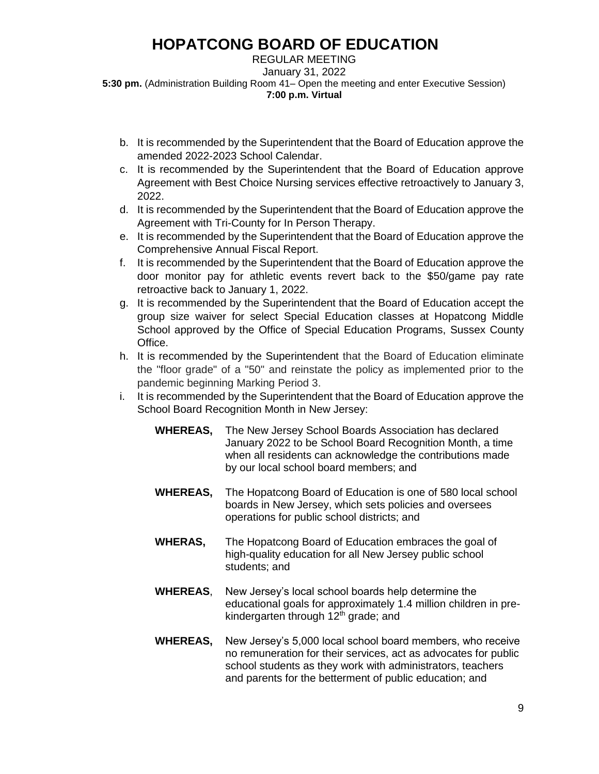REGULAR MEETING January 31, 2022 **5:30 pm.** (Administration Building Room 41– Open the meeting and enter Executive Session) **7:00 p.m. Virtual** 

- b. It is recommended by the Superintendent that the Board of Education approve the amended 2022-2023 School Calendar.
- c. It is recommended by the Superintendent that the Board of Education approve Agreement with Best Choice Nursing services effective retroactively to January 3, 2022.
- d. It is recommended by the Superintendent that the Board of Education approve the Agreement with Tri-County for In Person Therapy.
- e. It is recommended by the Superintendent that the Board of Education approve the Comprehensive Annual Fiscal Report.
- f. It is recommended by the Superintendent that the Board of Education approve the door monitor pay for athletic events revert back to the \$50/game pay rate retroactive back to January 1, 2022.
- g. It is recommended by the Superintendent that the Board of Education accept the group size waiver for select Special Education classes at Hopatcong Middle School approved by the Office of Special Education Programs, Sussex County Office.
- h. It is recommended by the Superintendent that the Board of Education eliminate the "floor grade" of a "50" and reinstate the policy as implemented prior to the pandemic beginning Marking Period 3.
- i. It is recommended by the Superintendent that the Board of Education approve the School Board Recognition Month in New Jersey:
	- **WHEREAS,** The New Jersey School Boards Association has declared January 2022 to be School Board Recognition Month, a time when all residents can acknowledge the contributions made by our local school board members; and
	- **WHEREAS,** The Hopatcong Board of Education is one of 580 local school boards in New Jersey, which sets policies and oversees operations for public school districts; and
	- **WHERAS,** The Hopatcong Board of Education embraces the goal of high-quality education for all New Jersey public school students; and
	- **WHEREAS**, New Jersey's local school boards help determine the educational goals for approximately 1.4 million children in prekindergarten through 12<sup>th</sup> grade; and
	- **WHEREAS,** New Jersey's 5,000 local school board members, who receive no remuneration for their services, act as advocates for public school students as they work with administrators, teachers and parents for the betterment of public education; and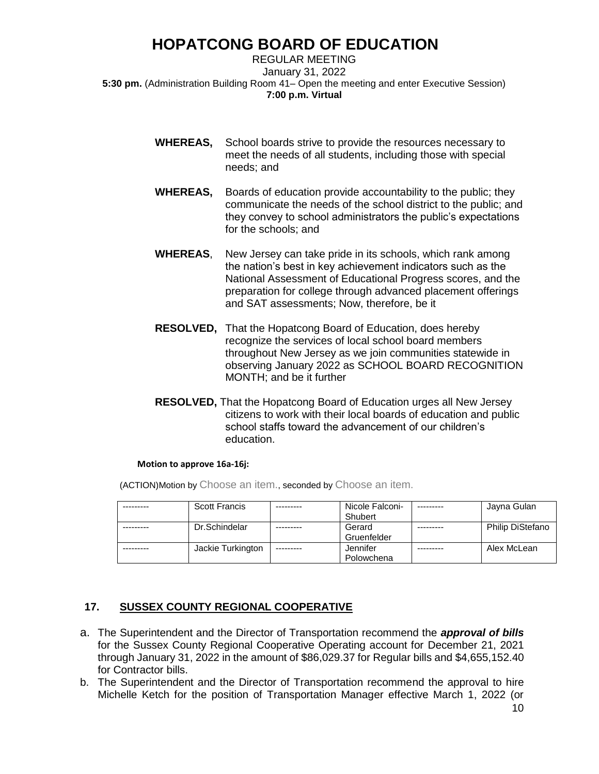REGULAR MEETING January 31, 2022 **5:30 pm.** (Administration Building Room 41– Open the meeting and enter Executive Session) **7:00 p.m. Virtual** 

- **WHEREAS,** School boards strive to provide the resources necessary to meet the needs of all students, including those with special needs; and
- **WHEREAS,** Boards of education provide accountability to the public; they communicate the needs of the school district to the public; and they convey to school administrators the public's expectations for the schools; and
- **WHEREAS**, New Jersey can take pride in its schools, which rank among the nation's best in key achievement indicators such as the National Assessment of Educational Progress scores, and the preparation for college through advanced placement offerings and SAT assessments; Now, therefore, be it
- **RESOLVED,** That the Hopatcong Board of Education, does hereby recognize the services of local school board members throughout New Jersey as we join communities statewide in observing January 2022 as SCHOOL BOARD RECOGNITION MONTH; and be it further
- **RESOLVED,** That the Hopatcong Board of Education urges all New Jersey citizens to work with their local boards of education and public school staffs toward the advancement of our children's education.

#### **Motion to approve 16a-16j:**

(ACTION)Motion by Choose an item., seconded by Choose an item.

| <b>Scott Francis</b> |           | Nicole Falconi-<br>Shubert | Jayna Gulan             |
|----------------------|-----------|----------------------------|-------------------------|
| Dr.Schindelar        |           | Gerard<br>Gruenfelder      | <b>Philip DiStefano</b> |
| Jackie Turkington    | --------- | Jennifer<br>Polowchena     | Alex McLean             |

## **17. SUSSEX COUNTY REGIONAL COOPERATIVE**

- a. The Superintendent and the Director of Transportation recommend the *approval of bills* for the Sussex County Regional Cooperative Operating account for December 21, 2021 through January 31, 2022 in the amount of \$86,029.37 for Regular bills and \$4,655,152.40 for Contractor bills.
- b. The Superintendent and the Director of Transportation recommend the approval to hire Michelle Ketch for the position of Transportation Manager effective March 1, 2022 (or